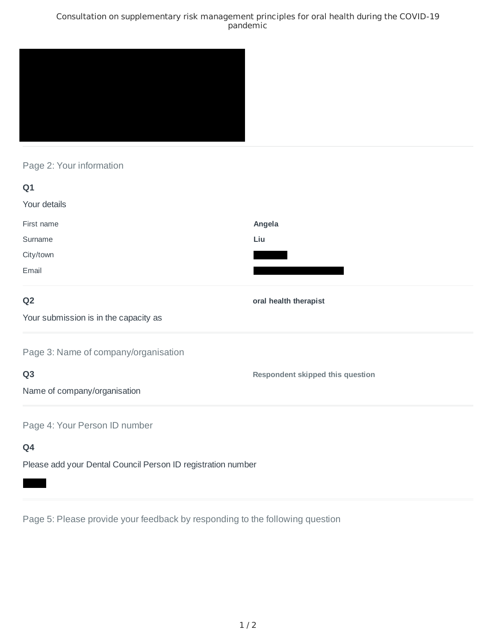### Consultation on supplementary risk management principles for oral health during the COVID-19 pandemic



# Page 2: Your information

| Q1                                    |                                         |
|---------------------------------------|-----------------------------------------|
| Your details                          |                                         |
| First name                            | Angela                                  |
| Surname                               | Liu                                     |
| City/town                             |                                         |
| Email                                 |                                         |
| Q <sub>2</sub>                        | oral health therapist                   |
| Your submission is in the capacity as |                                         |
| Page 3: Name of company/organisation  |                                         |
| Q <sub>3</sub>                        | <b>Respondent skipped this question</b> |
| Name of company/organisation          |                                         |
| Page 4: Your Person ID number         |                                         |
| Q4                                    |                                         |

Please add your Dental Council Person ID registration number

Page 5: Please provide your feedback by responding to the following question